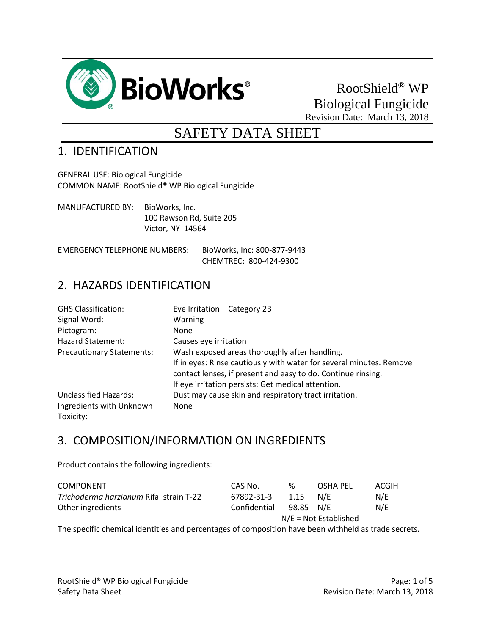

# RootShield® WP Biological Fungicide Revision Date: March 13, 2018

# SAFETY DATA SHEET

#### 1. IDENTIFICATION

GENERAL USE: Biological Fungicide COMMON NAME: RootShield® WP Biological Fungicide

MANUFACTURED BY: BioWorks, Inc. 100 Rawson Rd, Suite 205 Victor, NY 14564

EMERGENCY TELEPHONE NUMBERS: BioWorks, Inc: 800-877-9443 CHEMTREC: 800-424-9300

#### 2. HAZARDS IDENTIFICATION

| <b>GHS Classification:</b>       | Eye Irritation - Category 2B                                        |
|----------------------------------|---------------------------------------------------------------------|
| Signal Word:                     | <b>Warning</b>                                                      |
| Pictogram:                       | None                                                                |
| <b>Hazard Statement:</b>         | Causes eye irritation                                               |
| <b>Precautionary Statements:</b> | Wash exposed areas thoroughly after handling.                       |
|                                  | If in eyes: Rinse cautiously with water for several minutes. Remove |
|                                  | contact lenses, if present and easy to do. Continue rinsing.        |
|                                  | If eye irritation persists: Get medical attention.                  |
| Unclassified Hazards:            | Dust may cause skin and respiratory tract irritation.               |
| Ingredients with Unknown         | <b>None</b>                                                         |
| Toxicity:                        |                                                                     |

#### 3. COMPOSITION/INFORMATION ON INGREDIENTS

Product contains the following ingredients:

| <b>COMPONENT</b>                        | CAS No.                 | %         | OSHA PEL | ACGIH |
|-----------------------------------------|-------------------------|-----------|----------|-------|
| Trichoderma harzianum Rifai strain T-22 | 67892-31-3              | 1.15      | N/F      | N/E   |
| Other ingredients                       | Confidential            | 98.85 N/E |          | N/F   |
|                                         | $N/E = Not$ Established |           |          |       |

The specific chemical identities and percentages of composition have been withheld as trade secrets.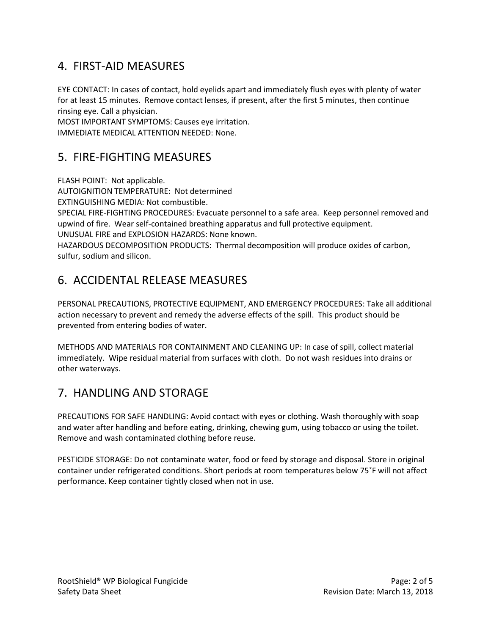### 4. FIRST-AID MEASURES

EYE CONTACT: In cases of contact, hold eyelids apart and immediately flush eyes with plenty of water for at least 15 minutes. Remove contact lenses, if present, after the first 5 minutes, then continue rinsing eye. Call a physician.

MOST IMPORTANT SYMPTOMS: Causes eye irritation. IMMEDIATE MEDICAL ATTENTION NEEDED: None.

#### 5. FIRE-FIGHTING MEASURES

FLASH POINT: Not applicable.

AUTOIGNITION TEMPERATURE: Not determined

EXTINGUISHING MEDIA: Not combustible.

SPECIAL FIRE-FIGHTING PROCEDURES: Evacuate personnel to a safe area. Keep personnel removed and upwind of fire. Wear self-contained breathing apparatus and full protective equipment.

UNUSUAL FIRE and EXPLOSION HAZARDS: None known.

HAZARDOUS DECOMPOSITION PRODUCTS: Thermal decomposition will produce oxides of carbon, sulfur, sodium and silicon.

# 6. ACCIDENTAL RELEASE MEASURES

PERSONAL PRECAUTIONS, PROTECTIVE EQUIPMENT, AND EMERGENCY PROCEDURES: Take all additional action necessary to prevent and remedy the adverse effects of the spill. This product should be prevented from entering bodies of water.

METHODS AND MATERIALS FOR CONTAINMENT AND CLEANING UP: In case of spill, collect material immediately. Wipe residual material from surfaces with cloth. Do not wash residues into drains or other waterways.

# 7. HANDLING AND STORAGE

PRECAUTIONS FOR SAFE HANDLING: Avoid contact with eyes or clothing. Wash thoroughly with soap and water after handling and before eating, drinking, chewing gum, using tobacco or using the toilet. Remove and wash contaminated clothing before reuse.

PESTICIDE STORAGE: Do not contaminate water, food or feed by storage and disposal. Store in original container under refrigerated conditions. Short periods at room temperatures below 75˚F will not affect performance. Keep container tightly closed when not in use.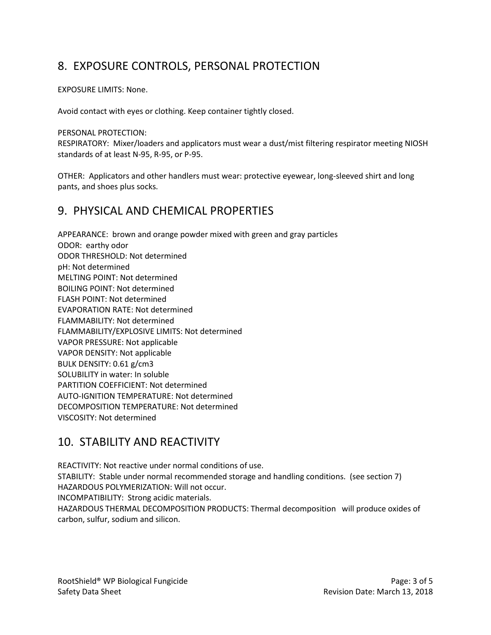### 8. EXPOSURE CONTROLS, PERSONAL PROTECTION

EXPOSURE LIMITS: None.

Avoid contact with eyes or clothing. Keep container tightly closed.

PERSONAL PROTECTION:

RESPIRATORY: Mixer/loaders and applicators must wear a dust/mist filtering respirator meeting NIOSH standards of at least N-95, R-95, or P-95.

OTHER: Applicators and other handlers must wear: protective eyewear, long-sleeved shirt and long pants, and shoes plus socks.

#### 9. PHYSICAL AND CHEMICAL PROPERTIES

APPEARANCE: brown and orange powder mixed with green and gray particles ODOR: earthy odor ODOR THRESHOLD: Not determined pH: Not determined MELTING POINT: Not determined BOILING POINT: Not determined FLASH POINT: Not determined EVAPORATION RATE: Not determined FLAMMABILITY: Not determined FLAMMABILITY/EXPLOSIVE LIMITS: Not determined VAPOR PRESSURE: Not applicable VAPOR DENSITY: Not applicable BULK DENSITY: 0.61 g/cm3 SOLUBILITY in water: In soluble PARTITION COEFFICIENT: Not determined AUTO-IGNITION TEMPERATURE: Not determined DECOMPOSITION TEMPERATURE: Not determined VISCOSITY: Not determined

### 10. STABILITY AND REACTIVITY

REACTIVITY: Not reactive under normal conditions of use. STABILITY: Stable under normal recommended storage and handling conditions. (see section 7) HAZARDOUS POLYMERIZATION: Will not occur. INCOMPATIBILITY: Strong acidic materials. HAZARDOUS THERMAL DECOMPOSITION PRODUCTS: Thermal decomposition will produce oxides of carbon, sulfur, sodium and silicon.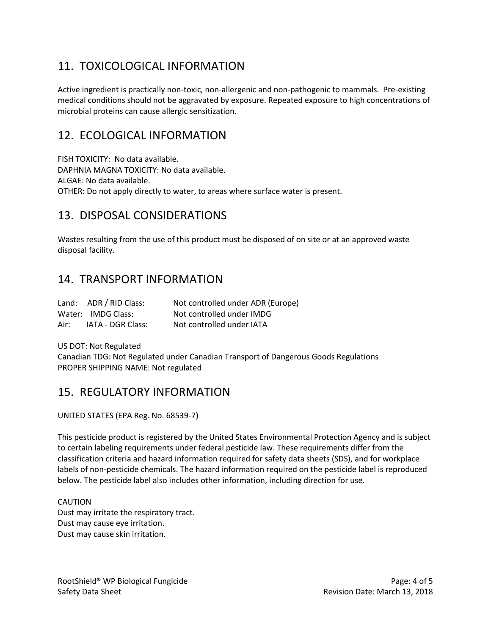# 11. TOXICOLOGICAL INFORMATION

Active ingredient is practically non-toxic, non-allergenic and non-pathogenic to mammals. Pre-existing medical conditions should not be aggravated by exposure. Repeated exposure to high concentrations of microbial proteins can cause allergic sensitization.

#### 12. ECOLOGICAL INFORMATION

FISH TOXICITY: No data available. DAPHNIA MAGNA TOXICITY: No data available. ALGAE: No data available. OTHER: Do not apply directly to water, to areas where surface water is present.

### 13. DISPOSAL CONSIDERATIONS

Wastes resulting from the use of this product must be disposed of on site or at an approved waste disposal facility.

#### 14. TRANSPORT INFORMATION

|      | Land: ADR / RID Class: | Not controlled under ADR (Europe) |
|------|------------------------|-----------------------------------|
|      | Water: IMDG Class:     | Not controlled under IMDG         |
| Air: | IATA - DGR Class:      | Not controlled under IATA         |

US DOT: Not Regulated

Canadian TDG: Not Regulated under Canadian Transport of Dangerous Goods Regulations PROPER SHIPPING NAME: Not regulated

#### 15. REGULATORY INFORMATION

UNITED STATES (EPA Reg. No. 68539-7)

This pesticide product is registered by the United States Environmental Protection Agency and is subject to certain labeling requirements under federal pesticide law. These requirements differ from the classification criteria and hazard information required for safety data sheets (SDS), and for workplace labels of non-pesticide chemicals. The hazard information required on the pesticide label is reproduced below. The pesticide label also includes other information, including direction for use.

#### CAUTION Dust may irritate the respiratory tract. Dust may cause eye irritation. Dust may cause skin irritation.